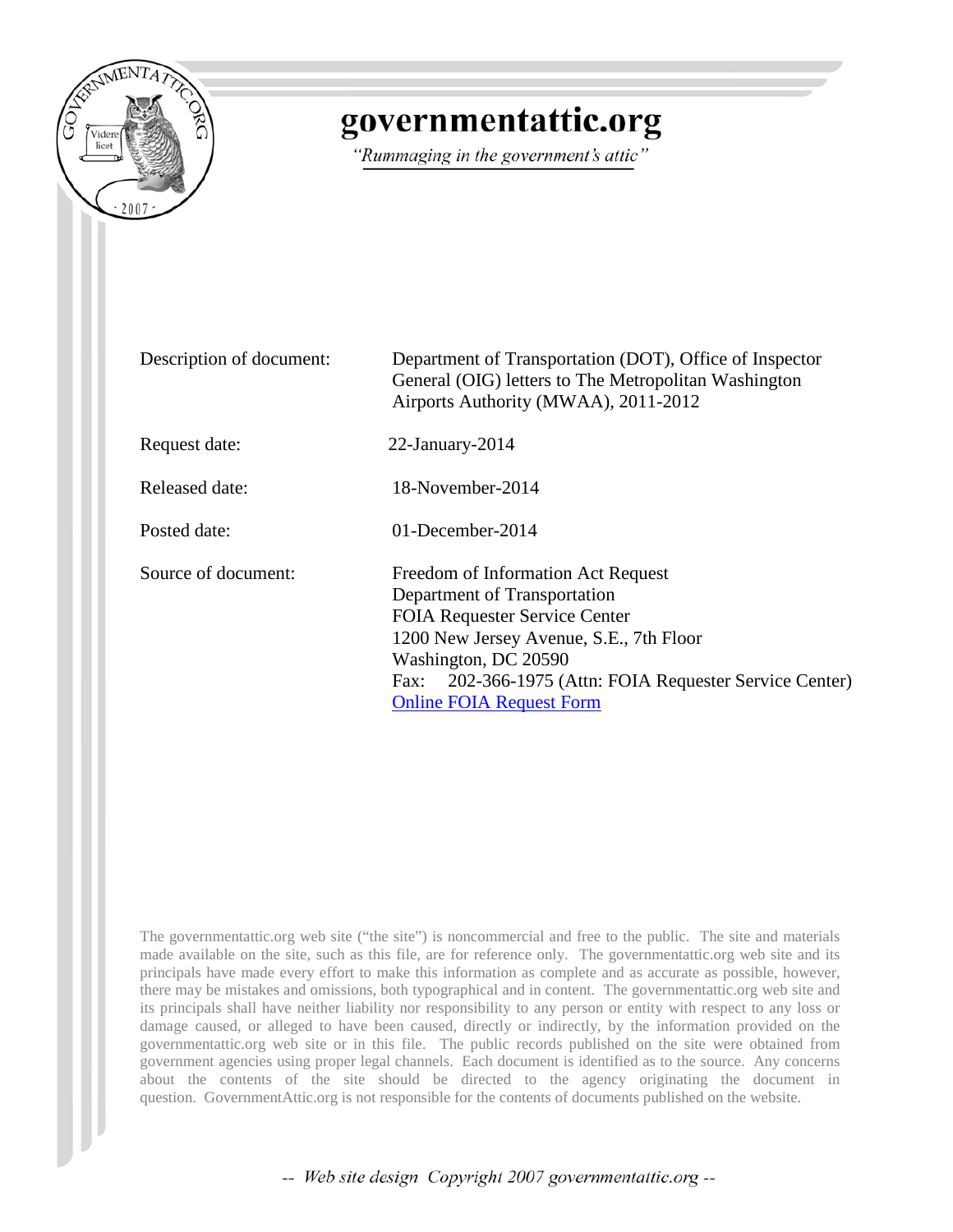

## governmentattic.org

"Rummaging in the government's attic"

| Description of document: | Department of Transportation (DOT), Office of Inspector<br>General (OIG) letters to The Metropolitan Washington<br>Airports Authority (MWAA), 2011-2012                                                                                                                        |
|--------------------------|--------------------------------------------------------------------------------------------------------------------------------------------------------------------------------------------------------------------------------------------------------------------------------|
| Request date:            | $22$ -January- $2014$                                                                                                                                                                                                                                                          |
| Released date:           | 18-November-2014                                                                                                                                                                                                                                                               |
| Posted date:             | $01$ -December-2014                                                                                                                                                                                                                                                            |
| Source of document:      | Freedom of Information Act Request<br>Department of Transportation<br><b>FOIA Requester Service Center</b><br>1200 New Jersey Avenue, S.E., 7th Floor<br>Washington, DC 20590<br>202-366-1975 (Attn: FOIA Requester Service Center)<br>Fax:<br><b>Online FOIA Request Form</b> |

The governmentattic.org web site ("the site") is noncommercial and free to the public. The site and materials made available on the site, such as this file, are for reference only. The governmentattic.org web site and its principals have made every effort to make this information as complete and as accurate as possible, however, there may be mistakes and omissions, both typographical and in content. The governmentattic.org web site and its principals shall have neither liability nor responsibility to any person or entity with respect to any loss or damage caused, or alleged to have been caused, directly or indirectly, by the information provided on the governmentattic.org web site or in this file. The public records published on the site were obtained from government agencies using proper legal channels. Each document is identified as to the source. Any concerns about the contents of the site should be directed to the agency originating the document in question. GovernmentAttic.org is not responsible for the contents of documents published on the website.

-- Web site design Copyright 2007 governmentattic.org --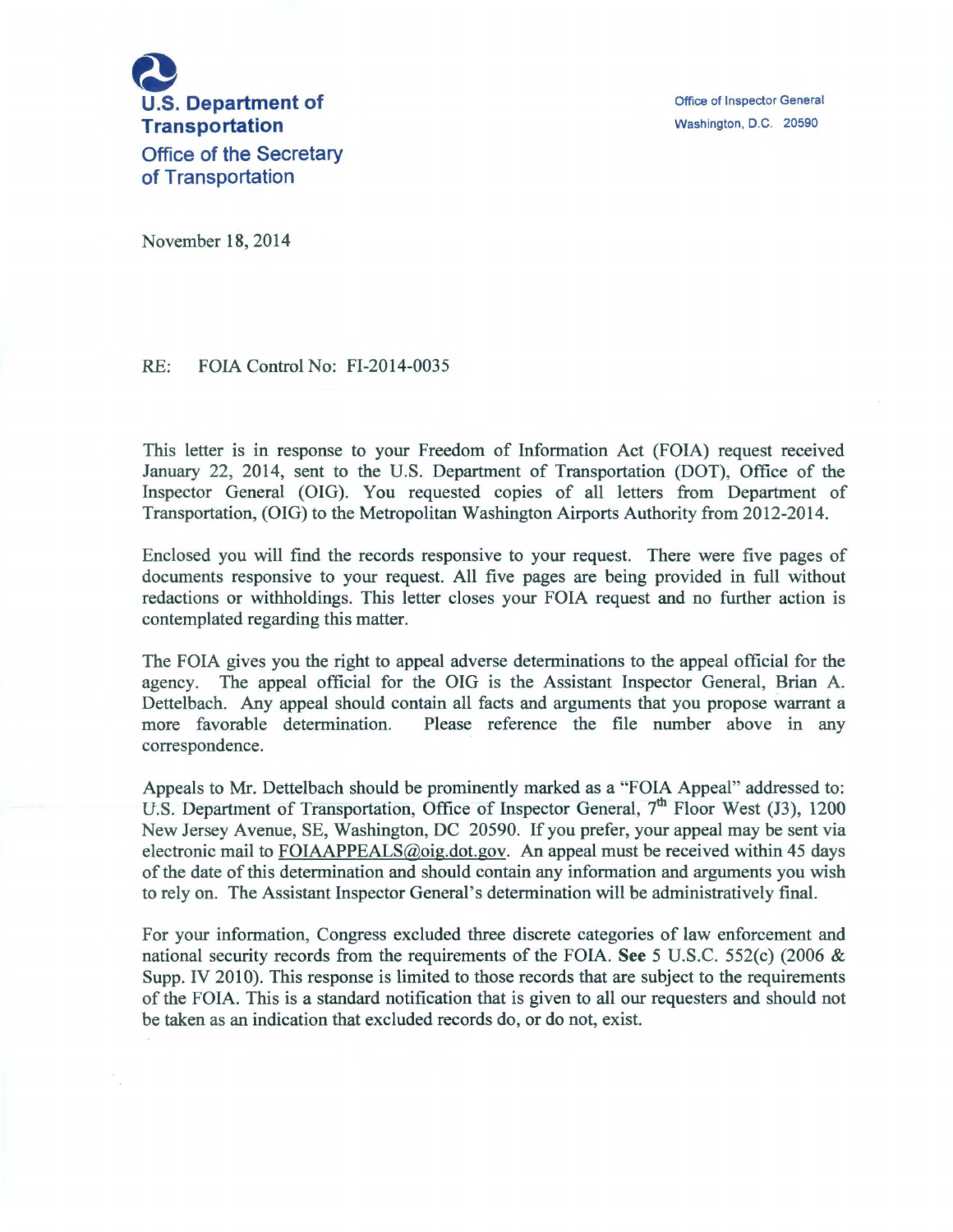

Office of Inspector General Washington. D.C. 20590

November 18, 2014

RE: FOIA Control No: FI-2014-0035

This letter is in response to your Freedom of Information Act (FOIA) request received January 22, 2014, sent to the U.S. Department of Transportation (DOT), Office of the Inspector General (OIG). You requested copies of all letters from Department of Transportation, (OIG) to the Metropolitan Washington Airports Authority from 2012-2014.

Enclosed you will find the records responsive to your request. There were five pages of documents responsive to your request. All five pages are being provided in full without redactions or withholdings. This letter closes your FOIA request and no further action is contemplated regarding this matter.

The FOIA gives you the right to appeal adverse determinations to the appeal official for the agency. The appeal official for the OIG is the Assistant Inspector General, Brian A. Dettelbach. Any appeal should contain all facts and arguments that you propose warrant a more favorable determination. Please reference the file number above in any correspondence.

Appeals to Mr. Dettelbach should be prominently marked as a "FOIA Appeal" addressed to: U.S. Department of Transportation, Office of Inspector General, 7<sup>th</sup> Floor West (J3), 1200 New Jersey Avenue, SE, Washington, DC 20590. If you prefer, your appeal may be sent via electronic mail to FOIAAPPEALS@oig.dot.gov. An appeal must be received within 45 days of the date of this determination and should contain any information and arguments you wish to rely on. The Assistant Inspector General's determination will be administratively final.

For your information, Congress excluded three discrete categories of law enforcement and national security records from the requirements of the FOIA. See 5 U.S.C. 552(c) (2006 & Supp. IV 2010). This response is limited to those records that are subject to the requirements of the FOIA. This is a standard notification that is given to all our requesters and should not be taken as an indication that excluded records do, or do not, exist.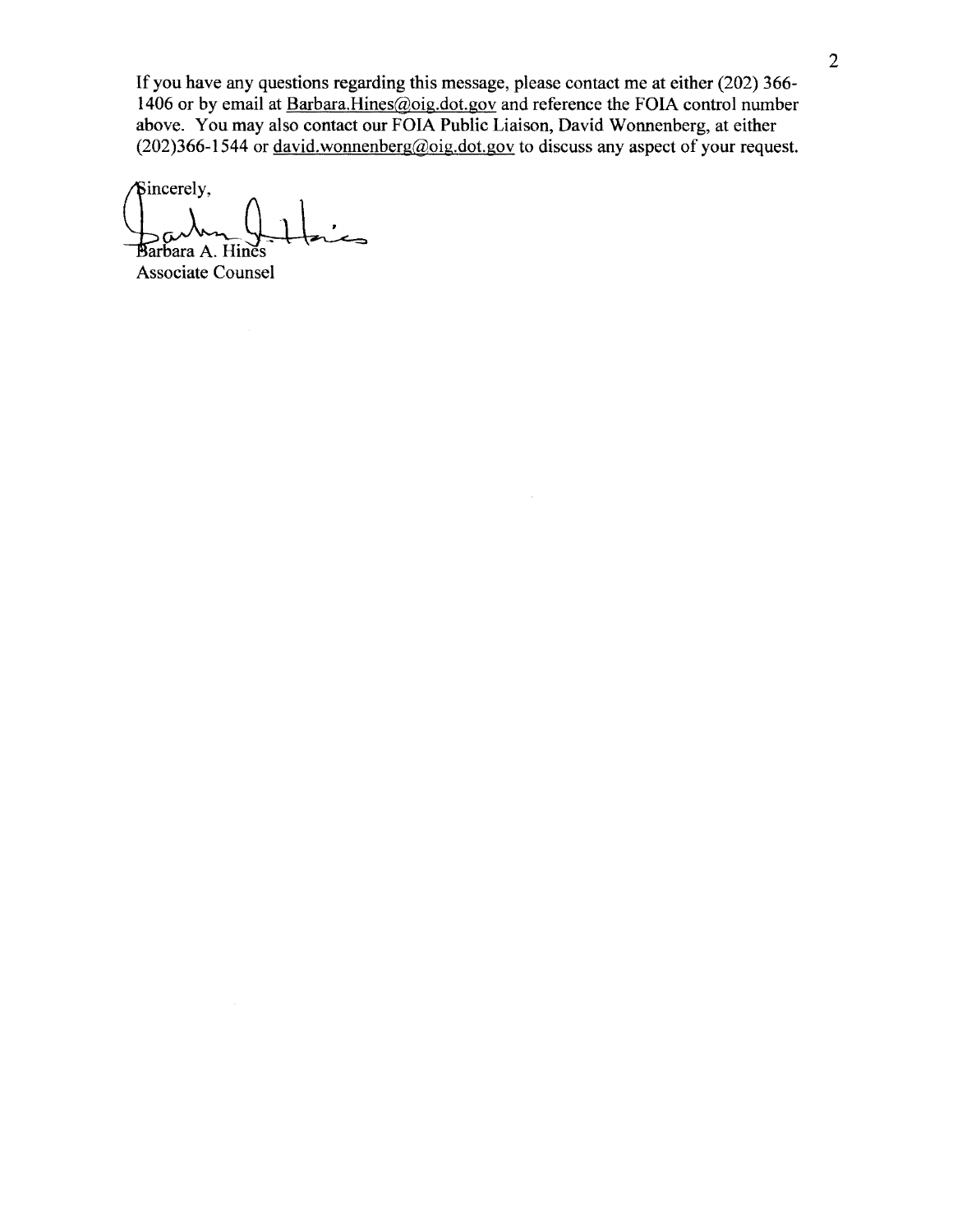If you have any questions regarding this message, please contact me at either (202) 366- 1406 or by email at Barbara.Hines@oig.dot.gov and reference the FOIA control number above. You may also contact our FOIA Public Liaison, David Wonnenberg, at either  $(202)366-1544$  or <u>david.wonnenberg@oig.dot.gov</u> to discuss any aspect of your request.

Sincerely, arbara A. Hines<br>arbara A. Hines

Associate Counsel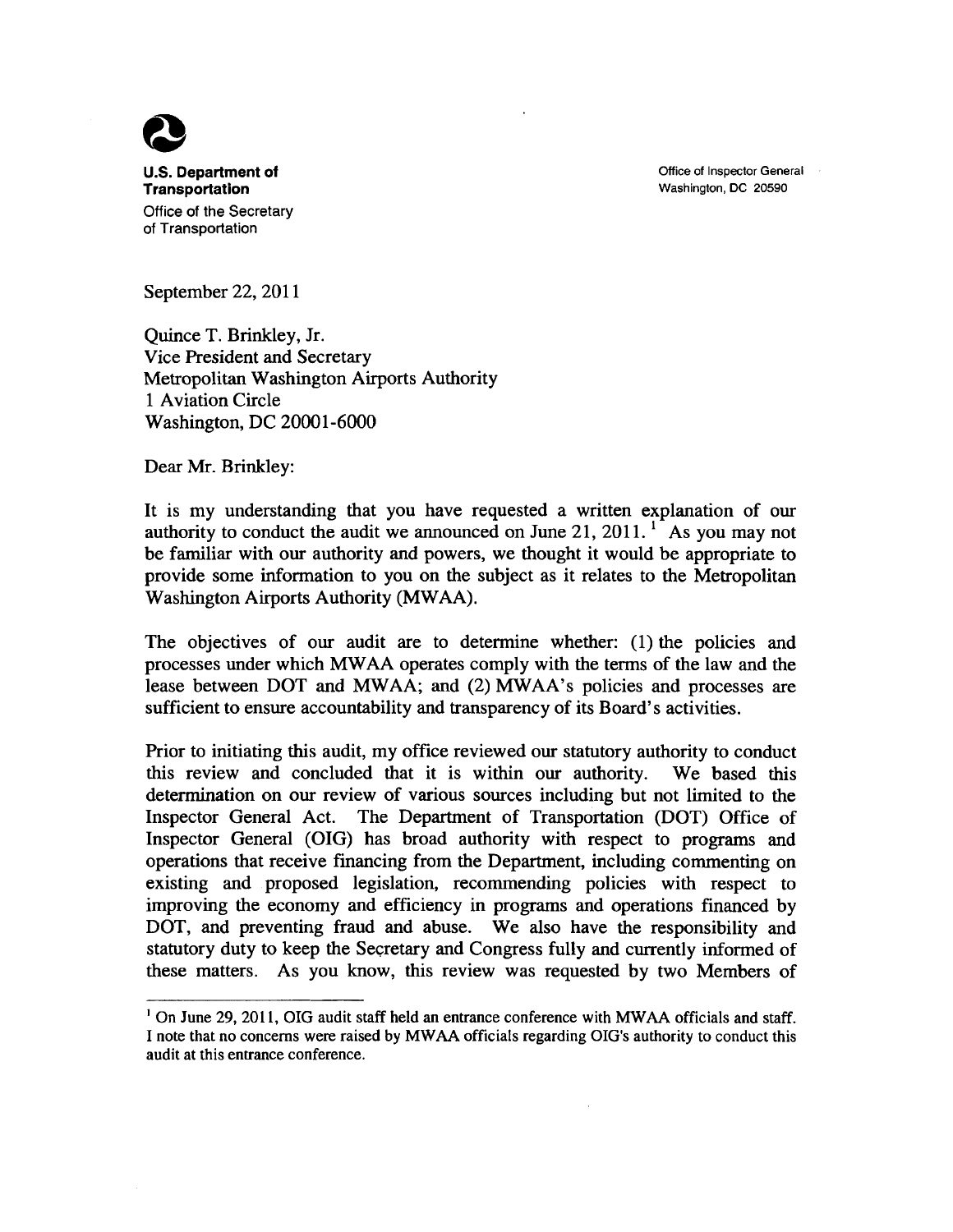Office of Inspector General Washington, DC 20590



**U.S. Department of Transportation**  Office of the Secretary of Transportation

September 22, 2011

Quince T. Brinkley, Jr. Vice President and Secretary Metropolitan Washington Airports Authority 1 Aviation Circle Washington, DC 20001-6000

Dear Mr. Brinkley:

It is my understanding that you have requested a written explanation of our authority to conduct the audit we announced on June 21,  $2011$ . <sup>1</sup> As you may not be familiar with our authority and powers, we thought it would be appropriate to provide some information to you on the subject as it relates to the Metropolitan Washington Airports Authority (MWAA).

The objectives of our audit are to determine whether: (1) the policies and processes under which MW AA operates comply with the terms of the law and the lease between DOT and MWAA; and (2) MWAA's policies and processes are sufficient to ensure accountability and transparency of its Board's activities.

Prior to initiating this audit, my office reviewed our statutory authority to conduct this review and concluded that it is within our authority. We based this determination on our review of various sources including but not limited to the Inspector General Act. The Department of Transportation (DOT) Office of Inspector General (OIG) has broad authority with respect to programs and operations that receive financing from the Department, including commenting on existing and proposed legislation, recommending policies with respect to improving the economy and efficiency in programs and operations financed by DOT, and preventing fraud and abuse. We also have the responsibility and statutory duty to keep the Secretary and Congress fully and currently informed of these matters. As you know, this review was requested by two Members of

<sup>&</sup>lt;sup>1</sup> On June 29, 2011, OIG audit staff held an entrance conference with MWAA officials and staff. I note that no concerns were raised by MW AA officials regarding OIG's authority to conduct this audit at this entrance conference.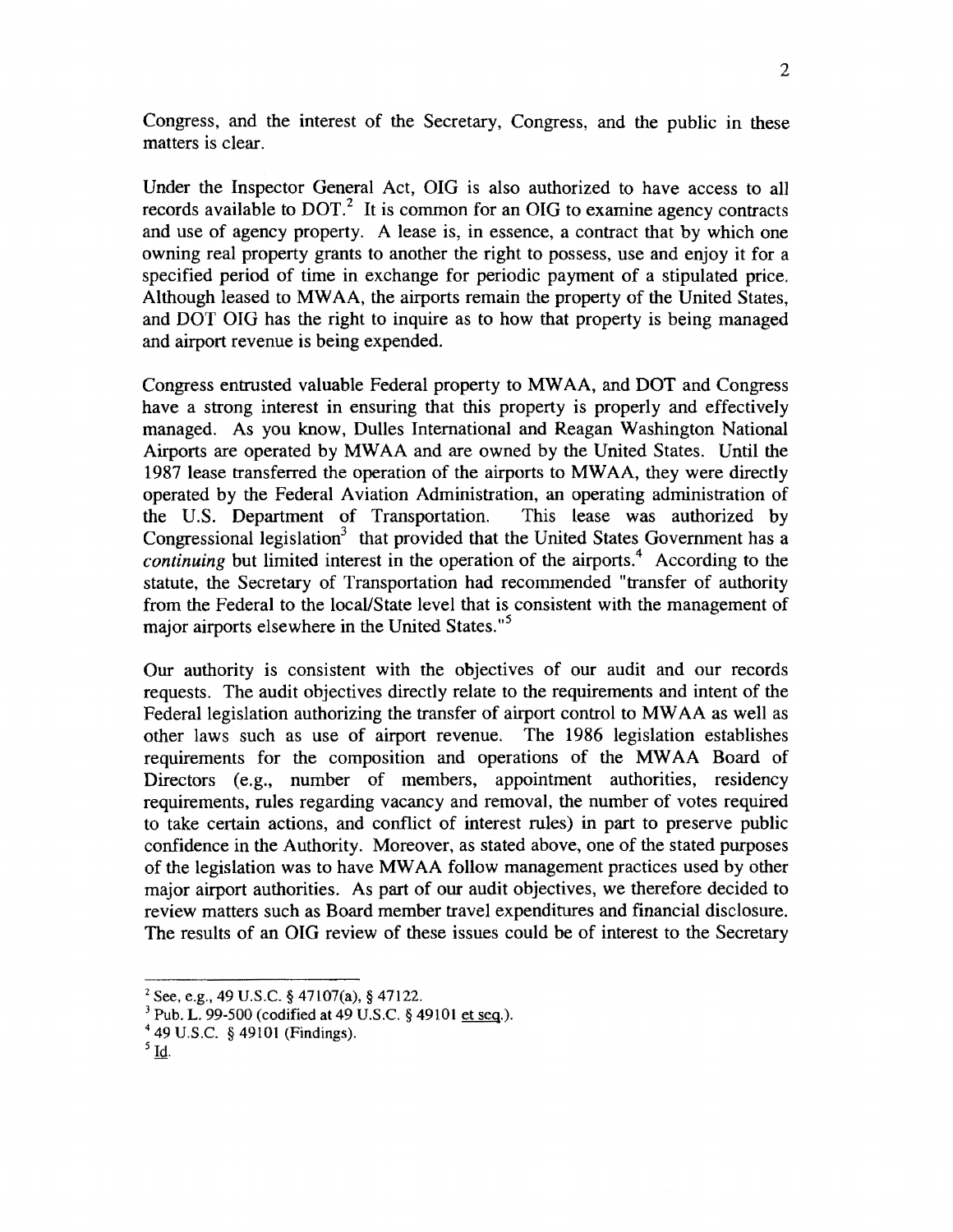Congress, and the interest of the Secretary, Congress, and the public in these matters is clear.

Under the Inspector General Act, OIG is also authorized to have access to all records available to  $DOT<sup>2</sup>$ . It is common for an OIG to examine agency contracts and use of agency property. A lease is, in essence, a contract that by which one owning real property grants to another the right to possess, use and enjoy it for a specified period of time in exchange for periodic payment of a stipulated price. Although leased to MW AA, the airports remain the property of the United States, and DOT OIG has the right to inquire as to how that property is being managed and airport revenue is being expended.

Congress entrusted valuable Federal property to MW AA, and DOT and Congress have a strong interest in ensuring that this property is properly and effectively managed. As you know, Dulles International and Reagan Washington National Airports are operated by MWAA and are owned by the United States. Until the 1987 lease transferred the operation of the airports to MW AA, they were directly operated by the Federal Aviation Administration, an operating administration of the U.S. Department of Transportation. This lease was authorized by Congressional legislation<sup>3</sup> that provided that the United States Government has a *continuing* but limited interest in the operation of the airports.<sup>4</sup> According to the statute, the Secretary of Transportation had recommended "transfer of authority from the Federal to the locaVState level that is consistent with the management of major airports elsewhere in the United States."<sup>5</sup>

Our authority is consistent with the objectives of our audit and our records requests. The audit objectives directly relate to the requirements and intent of the Federal legislation authorizing the transfer of airport control to MW AA as well as other laws such as use of airport revenue. The 1986 legislation establishes requirements for the composition and operations of the MW AA Board of Directors (e.g., number of members, appointment authorities, residency requirements, rules regarding vacancy and removal, the number of votes required to take certain actions, and conflict of interest rules) in part to preserve public confidence in the Authority. Moreover, as stated above, one of the stated purposes of the legislation was to have MW AA follow management practices used by other major airport authorities. As part of our audit objectives, we therefore decided to review matters such as Board member travel expenditures and financial disclosure. The results of an OIG review of these issues could be of interest to the Secretary

 $2$  See, e.g., 49 U.S.C. § 47107(a), § 47122.

 $3$  Pub. L. 99-500 (codified at 49 U.S.C. § 49101 et seq.).

<sup>4</sup>49 U.S.C. § 49101 (Findings).

 $5$   $\underline{\mathbf{Id}}$ .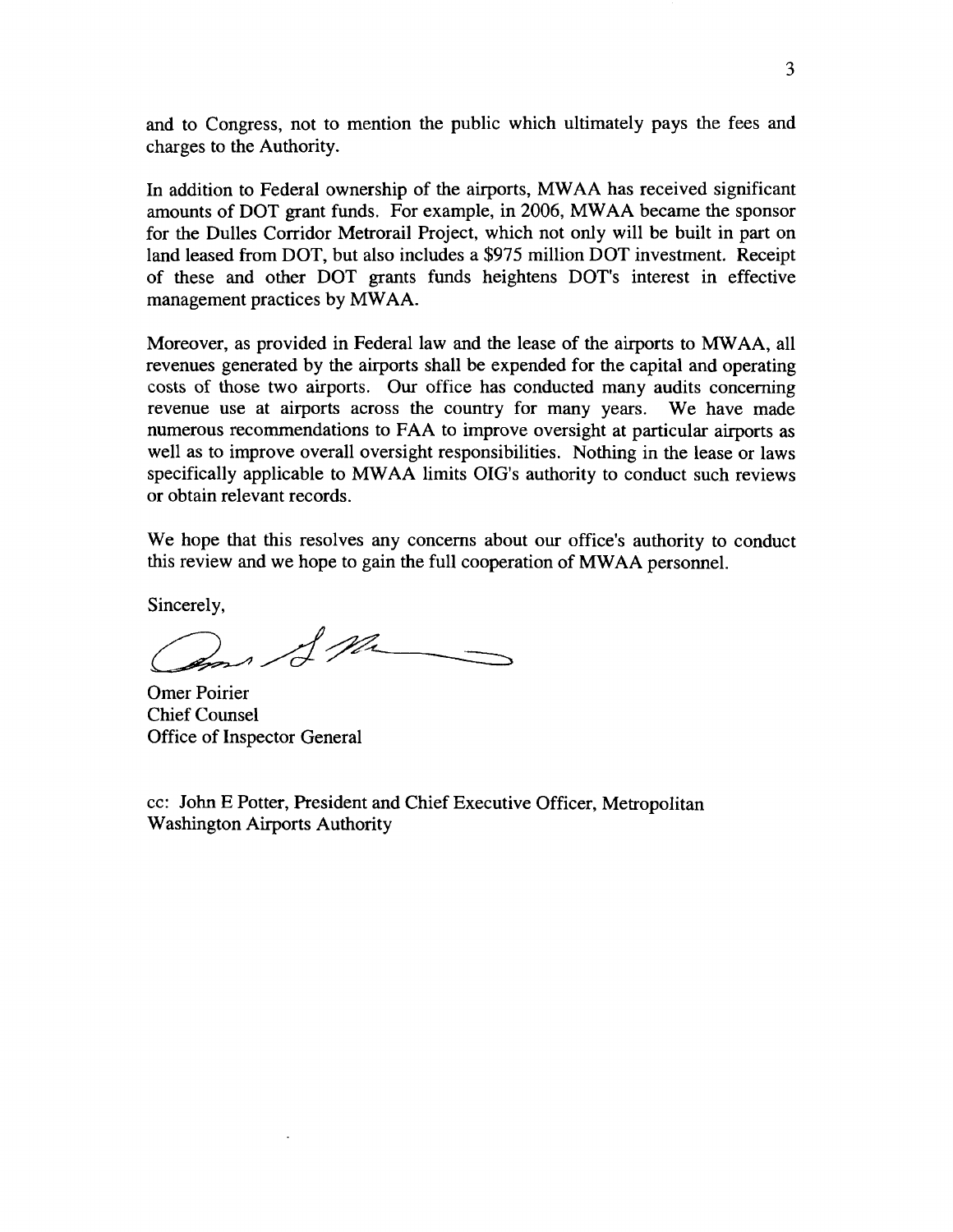and to Congress, not to mention the public which ultimately pays the fees and charges to the Authority.

In addition to Federal ownership of the airports, MW AA has received significant amounts of DOT grant funds. For example, in 2006, MW AA became the sponsor for the Dulles Corridor Metrorail Project, which not only will be built in part on land leased from DOT, but also includes a \$975 million DOT investment. Receipt of these and other DOT grants funds heightens DOT's interest in effective management practices by MWAA.

Moreover, as provided in Federal law and the lease of the airports to MW AA, all revenues generated by the airports shall be expended for the capital and operating costs of those two airports. Our office has conducted many audits concerning revenue use at airports across the country for many years. We have made numerous recommendations to FAA to improve oversight at particular airports as well as to improve overall oversight responsibilities. Nothing in the lease or laws specifically applicable to MW AA limits OIG's authority to conduct such reviews or obtain relevant records.

We hope that this resolves any concerns about our office's authority to conduct this review and we hope to gain the full cooperation of MW AA personnel.

Sincerely,

f ph

Omer Poirier Chief Counsel Office of Inspector General

cc: John E Potter, President and Chief Executive Officer, Metropolitan Washington Airports Authority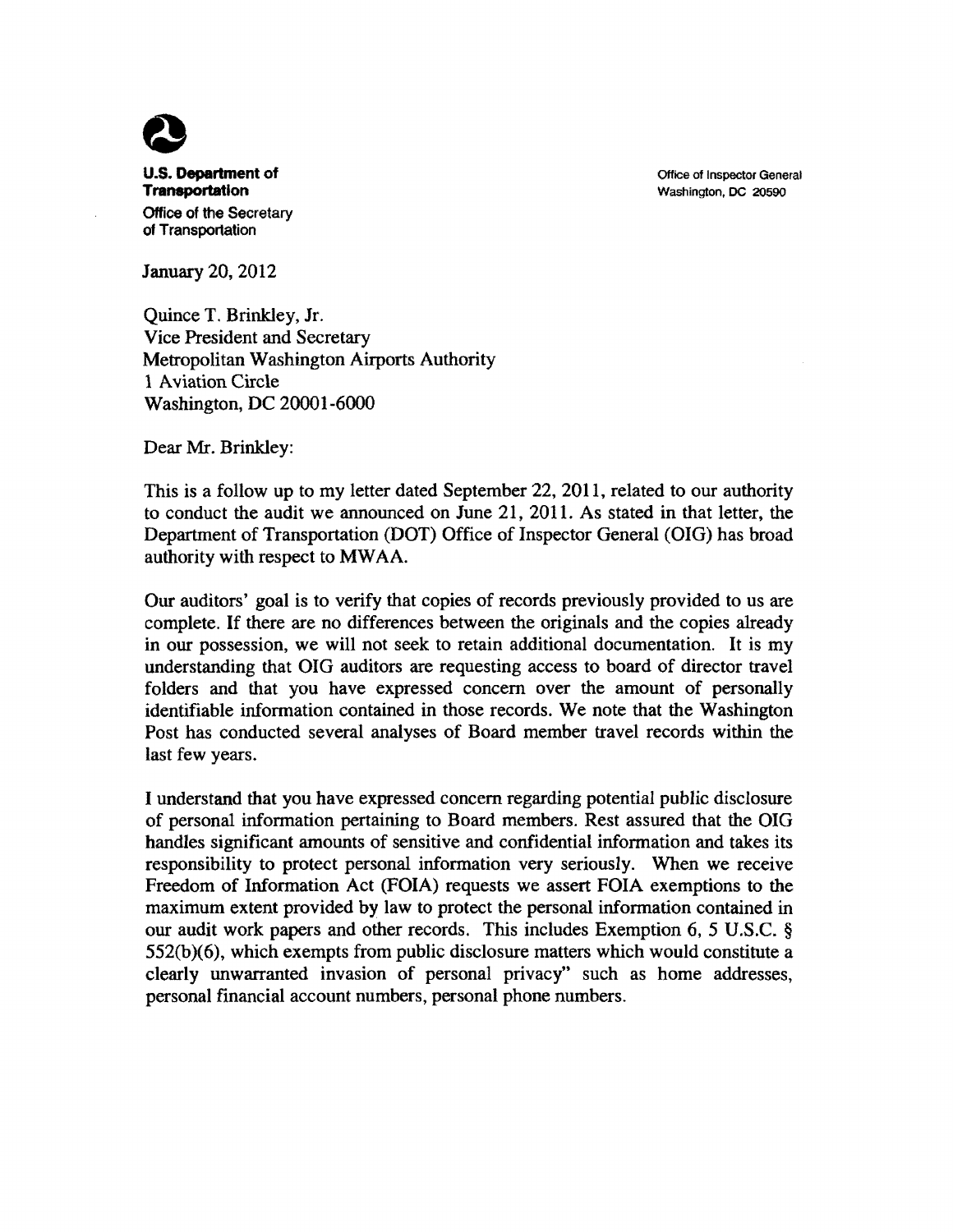U.S. **Department of Transportation**  Office of the Secretary of Transportation

Office of Inspector General Washington, DC 20590

January 20, 2012

Quince T. Brinkley, Jr. Vice President and Secretary Metropolitan Washington Airports Authority l Aviation Circle Washington, DC 20001-6000

Dear Mr. Brinkley:

This is a follow up to my letter dated September 22, 2011, related to our authority to conduct the audit we announced on June 21, 2011. As stated in that letter, the Department of Transportation (DOT) Office of Inspector General (OIG) has broad authority with respect to MWAA.

Our auditors' goal is to verify that copies of records previously provided to us are complete. If there are no differences between the originals and the copies already in our possession, we will not seek to retain additional documentation. It is my understanding that OIG auditors are requesting access to board of director travel folders and that you have expressed concern over the amount of personally identifiable information contained in those records. We note that the Washington Post has conducted several analyses of Board member travel records within the last few years.

I understand that you have expressed concern regarding potential public disclosure of personal information pertaining to Board members. Rest assured that the OIG handles significant amounts of sensitive and confidential information and takes its responsibility to protect personal information very seriously. When we receive Freedom of Information Act (FOIA) requests we assert FOIA exemptions to the maximum extent provided by law to protect the personal information contained in our audit work papers and other records. This includes Exemption 6, *5* U.S.C. § 552(b)(6), which exempts from public disclosure matters which would constitute a clearly unwarranted invasion of personal privacy" such as home addresses, personal financial account numbers, personal phone numbers.